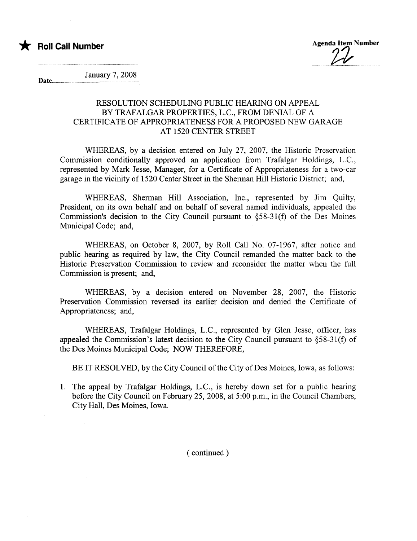

Date...

January 7, 2008

## RESOLUTION SCHEDULING PUBLIC HEARING ON APPEAL BY TRAFALGAR PROPERTIES, L.C., FROM DENIAL OF A CERTIFICATE OF APPROPRIATENESS FOR A PROPOSED NEW GARAGE AT 1520 CENTER STREET

WHEREAS, by a decision entered on July 27, 2007, the Historic Preservation Commission conditionally approved an application from Trafalgar Holdings, L.C., represented by Mark Jesse, Manager, for a Certificate of Appropriateness for a two-car garage in the vicinity of 1520 Center Street in the Sherman Hill Historic District; and,

WHEREAS, Sherman Hill Association, Inc., represented by Jim Quilty, President, on its own behalf and on behalf of several named individuals, appealed the Commission's decision to the City Council pursuant to §58-31(f) of the Des Moines Municipal Code; and,

WHEREAS, on October 8, 2007, by Roll Call No. 07-1967, after notice and public hearng as required by law, the City Council remanded the matter back to the Historic Preservation Commission to review and reconsider the matter when the full Commission is present; and,

WHEREAS, by a decision entered on November 28, 2007, the Historic Preservation Commission reversed its earlier decision and denied the Certificate of Appropriateness; and,

WHEREAS, Trafalgar Holdings, L.C., represented by Glen Jesse, officer, has appealed the Commission's latest decision to the City Council pursuant to §58-31(f) of the Des Moines Municipal Code; NOW THEREFORE,

BE IT RESOLVED, by the City Council of the City of Des Moines, Iowa, as follows:

1. The appeal by Trafalgar Holdings, L.C., is hereby down set for a public hearing before the City Council on February 25,2008, at 5:00 p.m., in the Council Chambers, City Hall, Des Moines, Iowa.

( continued)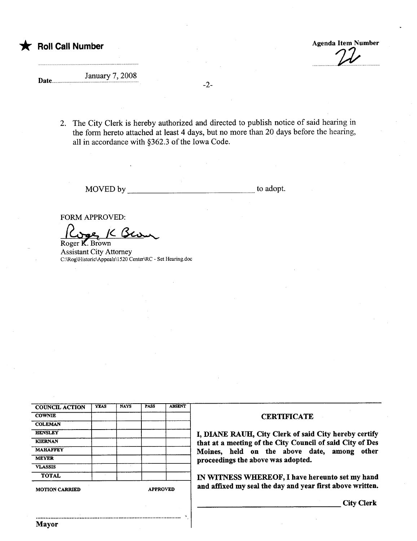

Date...

## January 7, 2008

-2-

2. The City Clerk is hereby authorized and directed to publish notice of said hearing in the form hereto attached at least 4 days, but no more than 20 days before the hearing, all in accordance with §362.3 of the Iowa Code.

MOVED by to adopt.

.

FORM APPROVED:

FORM APPROVED:<br>Cope K Ser

Assistant City Attorney C:\Rog\Historic\Appeals\1520 Center\RC - Set Hearing.doc

| <b>COUNCIL ACTION</b> | <b>YEAS</b> | <b>NAYS</b> | <b>PASS</b> | <b>ABSENT</b> |
|-----------------------|-------------|-------------|-------------|---------------|
| <b>COWNIE</b>         |             |             |             |               |
| <b>COLEMAN</b>        |             |             |             |               |
| <b>HENSLEY</b>        |             |             |             |               |
| <b>KIERNAN</b>        |             |             |             |               |
| <b>MAHAFFEY</b>       |             |             |             |               |
| <b>MEYER</b>          |             |             |             |               |
| <b>VLASSIS</b>        |             |             |             |               |
| <b>TOTAL</b>          |             |             |             |               |

## **CERTIFICATE**

I, DIANE RAUH, City Clerk of said City hereby certify that at a meeting of the City Council of said City of Des Moines, held on the above date, among other proceedings the above was adopted.

IN WITNESS WHEREOF, I have hereunto set my hand  $M_{\text{ATION CARRIED}}$  and affixed my seal the day and year first above written.

City Clerk

..........................................................................................